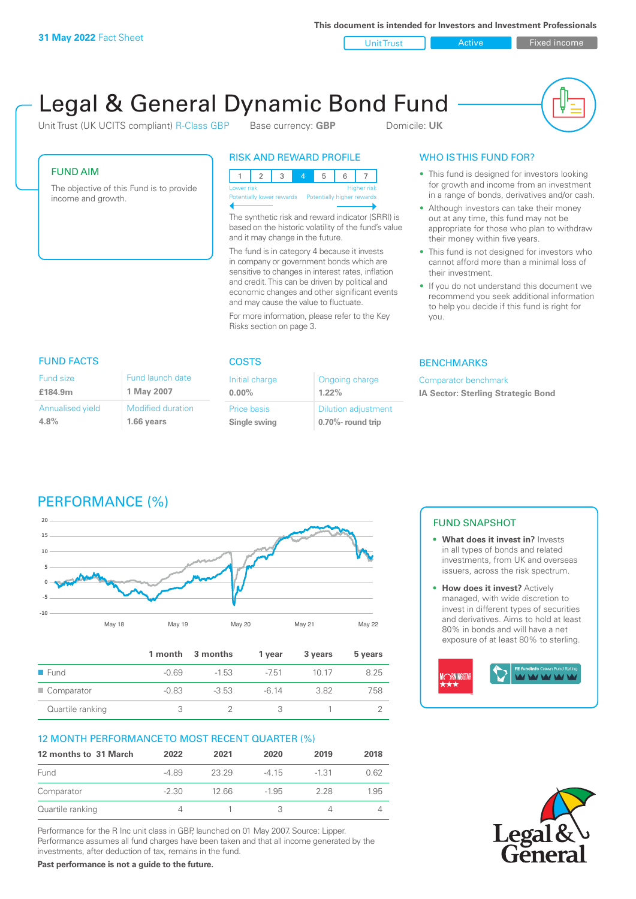**This document is intended for Investors and Investment Professionals**

Unit Trust **Active Active Fixed income** 

# Legal & General Dynamic Bond Fund

Unit Trust (UK UCITS compliant) R-Class GBP Base currency: **GBP** Domicile: UK



## FUND AIM

The objective of this Fund is to provide income and growth.

# RISK AND REWARD PROFILE

123 4 5 6 7 Higher risk Potentially higher rewards

The synthetic risk and reward indicator (SRRI) is based on the historic volatility of the fund's value and it may change in the future.

The fund is in category 4 because it invests in company or government bonds which are sensitive to changes in interest rates, inflation and credit. This can be driven by political and economic changes and other significant events and may cause the value to fluctuate.

For more information, please refer to the Key Risks section on page 3.

# WHO IS THIS FUND FOR?

- This fund is designed for investors looking for growth and income from an investment in a range of bonds, derivatives and/or cash.
- Although investors can take their money out at any time, this fund may not be appropriate for those who plan to withdraw their money within five years.
- This fund is not designed for investors who cannot afford more than a minimal loss of their investment.
- If you do not understand this document we recommend you seek additional information to help you decide if this fund is right for you.

#### **BENCHMARKS**

Comparator benchmark **IA Sector: Sterling Strategic Bond**

#### Fund size

| £184.9m                     | 1 May 2007                             |
|-----------------------------|----------------------------------------|
| Annualised yield<br>$4.8\%$ | <b>Modified duration</b><br>1.66 years |
|                             |                                        |

Fund launch date

#### FUND FACTS COSTS

| Initial charge<br>$0.00\%$  | Ongoing charge<br>$1.22\%$                      |
|-----------------------------|-------------------------------------------------|
| Price basis<br>Single swing | <b>Dilution adjustment</b><br>0.70%- round trip |

# PERFORMANCE (%)



|                     |         | 1 month 3 months | 1 vear  | 3 years | 5 years |
|---------------------|---------|------------------|---------|---------|---------|
| $\blacksquare$ Fund | -0.69   | $-1.53$          | $-751$  | 10 17   | 8.25    |
| Comparator          | $-0.83$ | $-3.53$          | $-6.14$ | 382     | 7.58    |
| Quartile ranking    |         |                  |         |         |         |

#### 12 MONTH PERFORMANCE TO MOST RECENT QUARTER (%)

| 12 months to 31 March | 2022    | 2021  | 2020    | 2019    | 2018 |
|-----------------------|---------|-------|---------|---------|------|
| Fund                  | -489    | 23.29 | -4 15   | $-1.31$ | 0.62 |
| Comparator            | $-2.30$ | 12.66 | $-1.95$ | 228     | 1.95 |
| Quartile ranking      |         |       |         |         |      |

Performance for the R Inc unit class in GBP, launched on 01 May 2007. Source: Lipper. Performance assumes all fund charges have been taken and that all income generated by the investments, after deduction of tax, remains in the fund.

**Past performance is not a guide to the future.**

#### FUND SNAPSHOT

- **• What does it invest in?** Invests in all types of bonds and related investments, from UK and overseas issuers, across the risk spectrum.
- **• How does it invest?** Actively managed, with wide discretion to invest in different types of securities and derivatives. Aims to hold at least 80% in bonds and will have a net exposure of at least 80% to sterling.



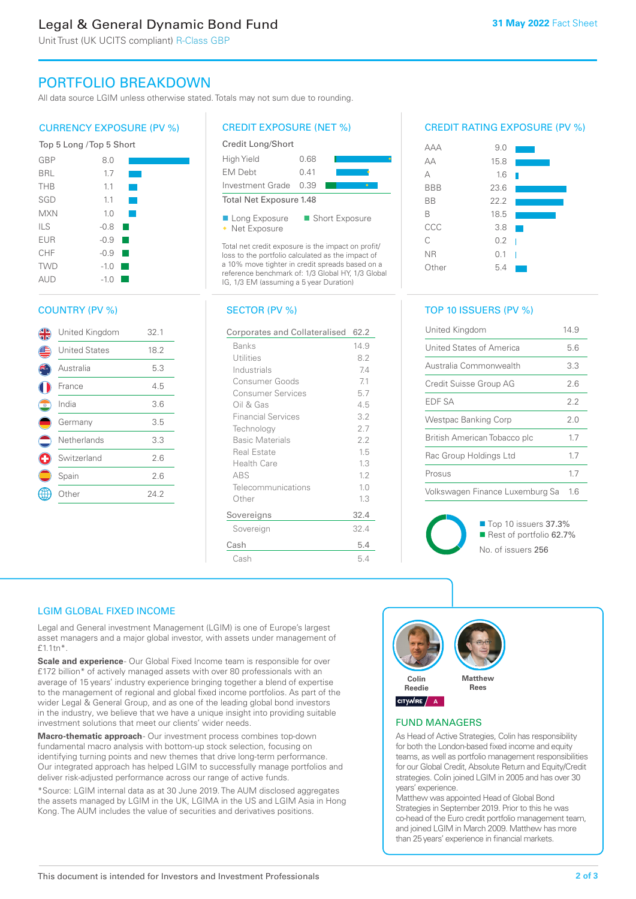# Legal & General Dynamic Bond Fund

Unit Trust (UK UCITS compliant) R-Class GBP

# PORTFOLIO BREAKDOWN

All data source LGIM unless otherwise stated. Totals may not sum due to rounding.

## CURRENCY EXPOSURE (PV %)



# COUNTRY (PV %)

|          | United Kingdom       | 32.1 |
|----------|----------------------|------|
|          | <b>United States</b> | 18.2 |
|          | Australia            | 5.3  |
|          | France               | 4.5  |
| O        | India                | 3.6  |
|          | Germany              | 3.5  |
| $\equiv$ | Netherlands          | 3.3  |
|          | Switzerland          | 2.6  |
|          | Spain                | 2.6  |
|          | Other                | 24.2 |
|          |                      |      |

## CREDIT EXPOSURE (NET %)



Total net credit exposure is the impact on profit/ loss to the portfolio calculated as the impact of a 10% move tighter in credit spreads based on a reference benchmark of: 1/3 Global HY, 1/3 Global IG, 1/3 EM (assuming a 5 year Duration)

#### SECTOR (PV %)

| Corporates and Collateralised | 62.2 |
|-------------------------------|------|
| Banks                         | 14.9 |
| Utilities                     | 8.2  |
| Industrials                   | 7.4  |
| Consumer Goods                | 71   |
| <b>Consumer Services</b>      | 5.7  |
| Oil & Gas                     | 4.5  |
| <b>Financial Services</b>     | 3.2  |
| Technology                    | 2.7  |
| <b>Basic Materials</b>        | 2.2  |
| <b>Real Estate</b>            | 1.5  |
| Health Care                   | 1.3  |
| ABS                           | 1.2  |
| Telecommunications            | 1.0  |
| Other                         | 1.3  |
| Sovereigns                    | 32.4 |
| Sovereign                     | 32.4 |
| Cash                          | 5.4  |
| Cash                          | 5.4  |

## CREDIT RATING EXPOSURE (PV %)



# TOP 10 ISSUERS (PV %)

| United Kingdom                  | 14.9 |
|---------------------------------|------|
| United States of America        | 5.6  |
| Australia Commonwealth          | 3.3  |
| Credit Suisse Group AG          | 26   |
| <b>FDF SA</b>                   | 22   |
| Westpac Banking Corp            | 20   |
| British American Tobacco plc    | 17   |
| Rac Group Holdings Ltd          | 17   |
| Prosus                          | 17   |
| Volkswagen Finance Luxemburg Sa | 16   |



■ Top 10 issuers 37.3% Rest of portfolio 62.7% No. of issuers 256

#### LGIM GLOBAL FIXED INCOME

Legal and General investment Management (LGIM) is one of Europe's largest asset managers and a major global investor, with assets under management of £1.1tn\*.

**Scale and experience** - Our Global Fixed Income team is responsible for over £172 billion\* of actively managed assets with over 80 professionals with an average of 15 years' industry experience bringing together a blend of expertise to the management of regional and global fixed income portfolios. As part of the wider Legal & General Group, and as one of the leading global bond investors in the industry, we believe that we have a unique insight into providing suitable investment solutions that meet our clients' wider needs.

Macro-thematic approach- Our investment process combines top-down fundamental macro analysis with bottom-up stock selection, focusing on identifying turning points and new themes that drive long-term performance. Our integrated approach has helped LGIM to successfully manage portfolios and deliver risk-adjusted performance across our range of active funds.

\*Source: LGIM internal data as at 30 June 2019. The AUM disclosed aggregates the assets managed by LGIM in the UK, LGIMA in the US and LGIM Asia in Hong Kong. The AUM includes the value of securities and derivatives positions.



#### FUND MANAGERS

As Head of Active Strategies, Colin has responsibility for both the London-based fixed income and equity teams, as well as portfolio management responsibilities for our Global Credit, Absolute Return and Equity/Credit strategies. Colin joined LGIM in 2005 and has over 30 years' experience.

Matthew was appointed Head of Global Bond Strategies in September 2019. Prior to this he was co-head of the Euro credit portfolio management team, and joined LGIM in March 2009. Matthew has more than 25 years' experience in financial markets.